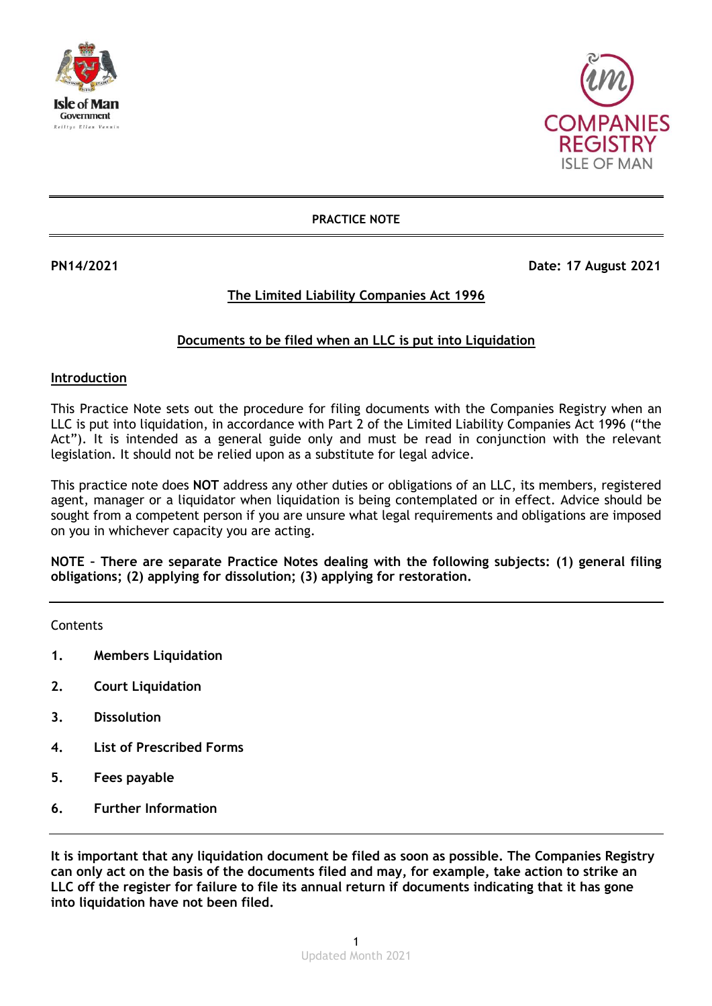



### **PRACTICE NOTE**

**PN14/2021 Date: 17 August 2021** 

# **The Limited Liability Companies Act 1996**

# **Documents to be filed when an LLC is put into Liquidation**

#### **Introduction**

This Practice Note sets out the procedure for filing documents with the Companies Registry when an LLC is put into liquidation, in accordance with Part 2 of the Limited Liability Companies Act 1996 ("the Act"). It is intended as a general guide only and must be read in conjunction with the relevant legislation. It should not be relied upon as a substitute for legal advice.

This practice note does **NOT** address any other duties or obligations of an LLC, its members, registered agent, manager or a liquidator when liquidation is being contemplated or in effect. Advice should be sought from a competent person if you are unsure what legal requirements and obligations are imposed on you in whichever capacity you are acting.

**NOTE – There are separate Practice Notes dealing with the following subjects: (1) general filing obligations; (2) applying for dissolution; (3) applying for restoration.**

**Contents** 

- **1. Members Liquidation**
- **2. Court Liquidation**
- **3. Dissolution**
- **4. List of Prescribed Forms**
- **5. Fees payable**
- **6. Further Information**

**It is important that any liquidation document be filed as soon as possible. The Companies Registry can only act on the basis of the documents filed and may, for example, take action to strike an LLC off the register for failure to file its annual return if documents indicating that it has gone into liquidation have not been filed.**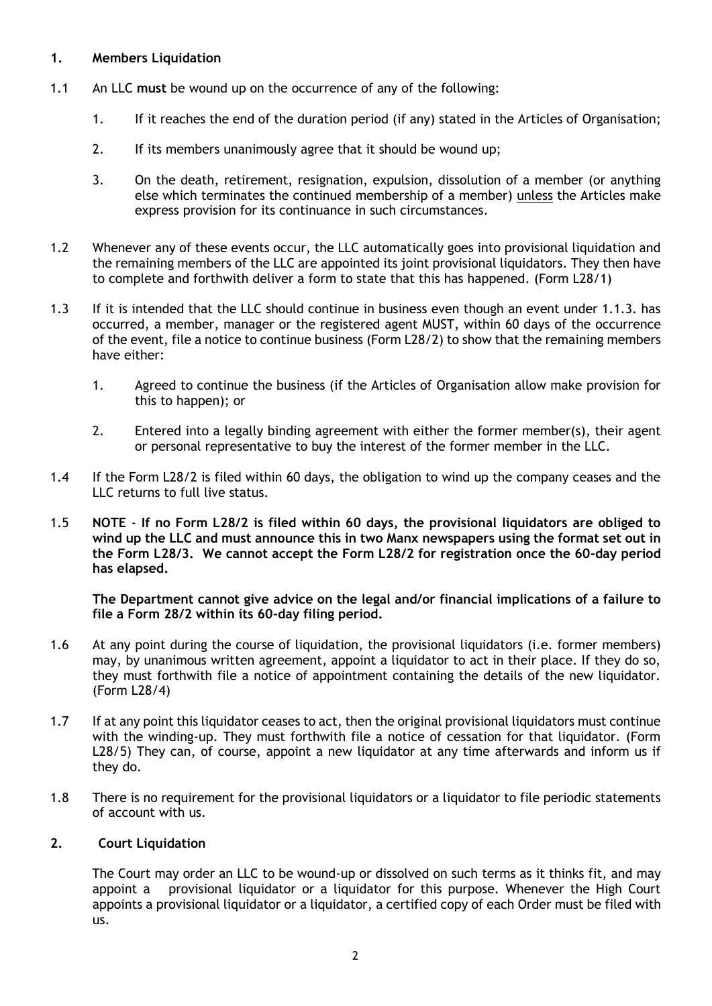# **1. Members Liquidation**

- 1.1 An LLC **must** be wound up on the occurrence of any of the following:
	- 1. If it reaches the end of the duration period (if any) stated in the Articles of Organisation;
	- 2. If its members unanimously agree that it should be wound up;
	- 3. On the death, retirement, resignation, expulsion, dissolution of a member (or anything else which terminates the continued membership of a member) unless the Articles make express provision for its continuance in such circumstances.
- 1.2 Whenever any of these events occur, the LLC automatically goes into provisional liquidation and the remaining members of the LLC are appointed its joint provisional liquidators. They then have to complete and forthwith deliver a form to state that this has happened. (Form L28/1)
- 1.3 If it is intended that the LLC should continue in business even though an event under 1.1.3. has occurred, a member, manager or the registered agent MUST, within 60 days of the occurrence of the event, file a notice to continue business (Form L28/2) to show that the remaining members have either:
	- 1. Agreed to continue the business (if the Articles of Organisation allow make provision for this to happen); or
	- 2. Entered into a legally binding agreement with either the former member(s), their agent or personal representative to buy the interest of the former member in the LLC.
- 1.4 If the Form L28/2 is filed within 60 days, the obligation to wind up the company ceases and the LLC returns to full live status.
- 1.5 **NOTE If no Form L28/2 is filed within 60 days, the provisional liquidators are obliged to wind up the LLC and must announce this in two Manx newspapers using the format set out in the Form L28/3. We cannot accept the Form L28/2 for registration once the 60-day period has elapsed.**

**The Department cannot give advice on the legal and/or financial implications of a failure to file a Form 28/2 within its 60-day filing period.**

- 1.6 At any point during the course of liquidation, the provisional liquidators (i.e. former members) may, by unanimous written agreement, appoint a liquidator to act in their place. If they do so, they must forthwith file a notice of appointment containing the details of the new liquidator. (Form L28/4)
- 1.7 If at any point this liquidator ceases to act, then the original provisional liquidators must continue with the winding-up. They must forthwith file a notice of cessation for that liquidator. (Form L28/5) They can, of course, appoint a new liquidator at any time afterwards and inform us if they do.
- 1.8 There is no requirement for the provisional liquidators or a liquidator to file periodic statements of account with us.

## **2. Court Liquidation**

 The Court may order an LLC to be wound-up or dissolved on such terms as it thinks fit, and may appoint a provisional liquidator or a liquidator for this purpose. Whenever the High Court appoints a provisional liquidator or a liquidator, a certified copy of each Order must be filed with us.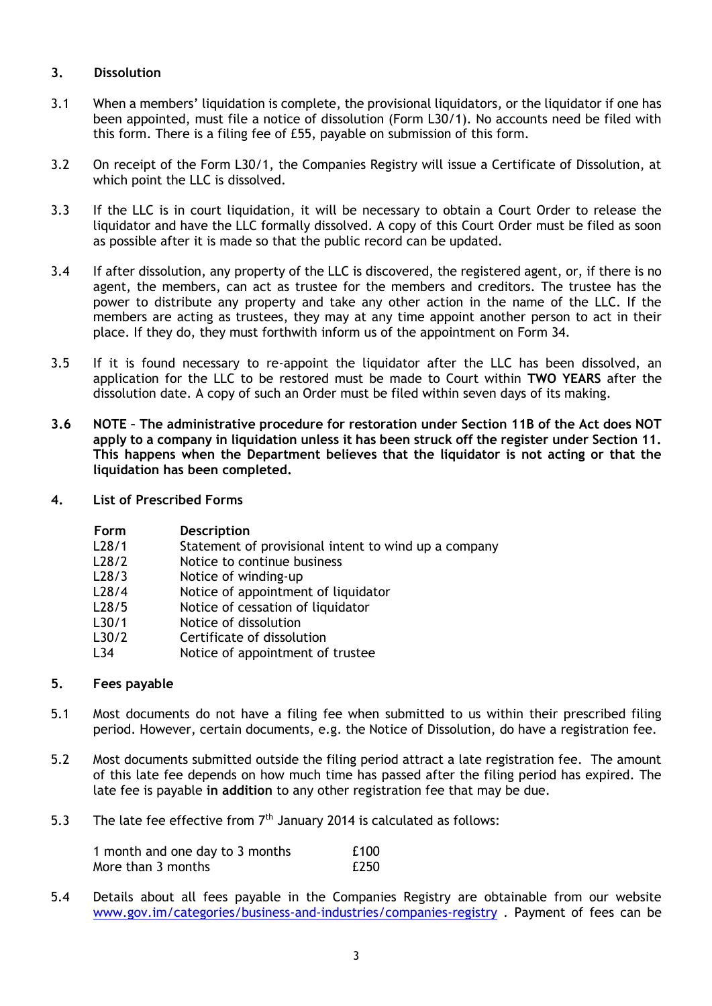# **3. Dissolution**

- 3.1 When a members' liquidation is complete, the provisional liquidators, or the liquidator if one has been appointed, must file a notice of dissolution (Form L30/1). No accounts need be filed with this form. There is a filing fee of £55, payable on submission of this form.
- 3.2 On receipt of the Form L30/1, the Companies Registry will issue a Certificate of Dissolution, at which point the LLC is dissolved.
- 3.3 If the LLC is in court liquidation, it will be necessary to obtain a Court Order to release the liquidator and have the LLC formally dissolved. A copy of this Court Order must be filed as soon as possible after it is made so that the public record can be updated.
- 3.4 If after dissolution, any property of the LLC is discovered, the registered agent, or, if there is no agent, the members, can act as trustee for the members and creditors. The trustee has the power to distribute any property and take any other action in the name of the LLC. If the members are acting as trustees, they may at any time appoint another person to act in their place. If they do, they must forthwith inform us of the appointment on Form 34.
- 3.5 If it is found necessary to re-appoint the liquidator after the LLC has been dissolved, an application for the LLC to be restored must be made to Court within **TWO YEARS** after the dissolution date. A copy of such an Order must be filed within seven days of its making.
- **3.6 NOTE – The administrative procedure for restoration under Section 11B of the Act does NOT apply to a company in liquidation unless it has been struck off the register under Section 11. This happens when the Department believes that the liquidator is not acting or that the liquidation has been completed.**
- **4. List of Prescribed Forms**

| <b>Description</b> |
|--------------------|
|                    |

- L28/1 Statement of provisional intent to wind up a company
- L28/2 Notice to continue business<br>L28/3 Notice of winding-up
- Notice of winding-up
- L28/4 Notice of appointment of liquidator
- L28/5 Notice of cessation of liquidator<br>L30/1 Notice of dissolution
- Notice of dissolution
- L30/2 Certificate of dissolution
- L34 Notice of appointment of trustee

### **5. Fees payable**

- 5.1 Most documents do not have a filing fee when submitted to us within their prescribed filing period. However, certain documents, e.g. the Notice of Dissolution, do have a registration fee.
- 5.2 Most documents submitted outside the filing period attract a late registration fee. The amount of this late fee depends on how much time has passed after the filing period has expired. The late fee is payable **in addition** to any other registration fee that may be due.
- 5.3 The late fee effective from  $7<sup>th</sup>$  January 2014 is calculated as follows:

| 1 month and one day to 3 months | £100 |
|---------------------------------|------|
| More than 3 months              | £250 |

5.4 Details about all fees payable in the Companies Registry are obtainable from our website [www.gov.im/categories/business-and-industries/companies-registry](http://www.gov.im/categories/business-and-industries/companies-registry) . Payment of fees can be